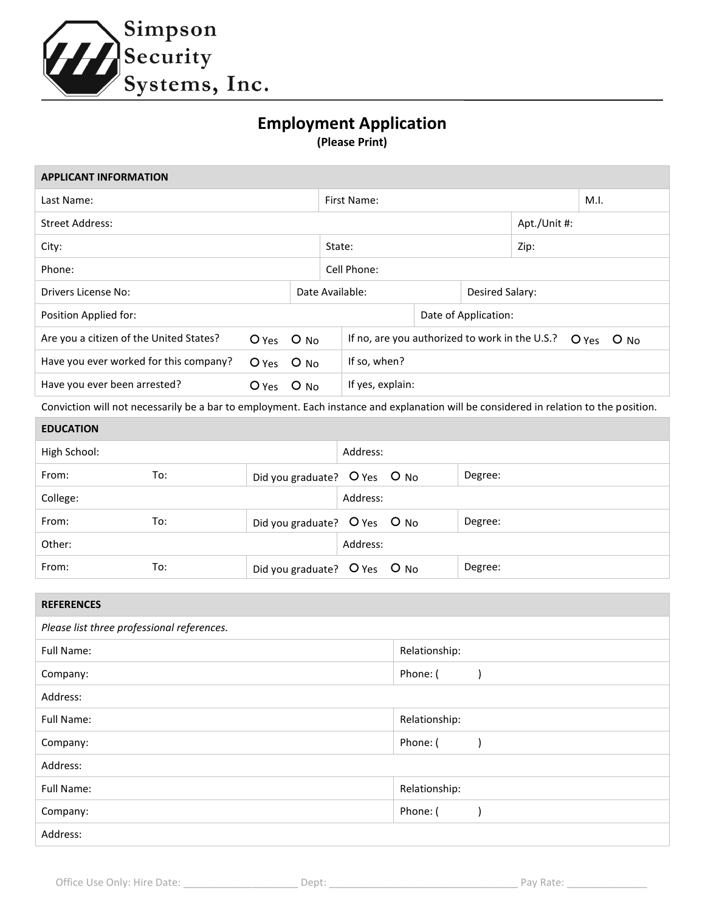

## **Employment Application**

**(Please Print)**

| <b>APPLICANT INFORMATION</b>                                                                                                          |                |            |                 |                                                                     |  |                      |              |  |  |
|---------------------------------------------------------------------------------------------------------------------------------------|----------------|------------|-----------------|---------------------------------------------------------------------|--|----------------------|--------------|--|--|
| Last Name:                                                                                                                            |                |            | First Name:     |                                                                     |  |                      | M.I.         |  |  |
| <b>Street Address:</b>                                                                                                                |                |            |                 |                                                                     |  |                      | Apt./Unit #: |  |  |
| City:                                                                                                                                 |                |            | State:          |                                                                     |  | Zip:                 |              |  |  |
| Phone:                                                                                                                                |                |            | Cell Phone:     |                                                                     |  |                      |              |  |  |
| Drivers License No:                                                                                                                   |                |            | Date Available: |                                                                     |  | Desired Salary:      |              |  |  |
| Position Applied for:                                                                                                                 |                |            |                 |                                                                     |  | Date of Application: |              |  |  |
| Are you a citizen of the United States?                                                                                               |                | O Yes O No |                 | If no, are you authorized to work in the U.S.?<br>$O$ Yes<br>$O$ No |  |                      |              |  |  |
| Have you ever worked for this company?                                                                                                | O Yes O No     |            |                 | If so, when?                                                        |  |                      |              |  |  |
| Have you ever been arrested?                                                                                                          | $O$ Yes $O$ No |            |                 | If yes, explain:                                                    |  |                      |              |  |  |
| Conviction will not necessarily be a bar to employment. Each instance and explanation will be considered in relation to the position. |                |            |                 |                                                                     |  |                      |              |  |  |

| <b>EDUCATION</b> |     |                              |          |         |  |  |
|------------------|-----|------------------------------|----------|---------|--|--|
| High School:     |     |                              | Address: |         |  |  |
| From:            | To: | Did you graduate? O Yes O No |          | Degree: |  |  |
| College:         |     |                              | Address: |         |  |  |
| From:            | To: | Did you graduate? O Yes O No |          | Degree: |  |  |
| Other:           |     |                              | Address: |         |  |  |
| From:            | To: | Did you graduate? O Yes O No |          | Degree: |  |  |

| <b>REFERENCES</b>                          |               |  |  |  |  |
|--------------------------------------------|---------------|--|--|--|--|
| Please list three professional references. |               |  |  |  |  |
| Full Name:                                 | Relationship: |  |  |  |  |
| Company:                                   | Phone: (      |  |  |  |  |
| Address:                                   |               |  |  |  |  |
| Full Name:                                 | Relationship: |  |  |  |  |
| Company:                                   | Phone: (      |  |  |  |  |
| Address:                                   |               |  |  |  |  |
| Full Name:                                 | Relationship: |  |  |  |  |
| Company:                                   | Phone: (      |  |  |  |  |
| Address:                                   |               |  |  |  |  |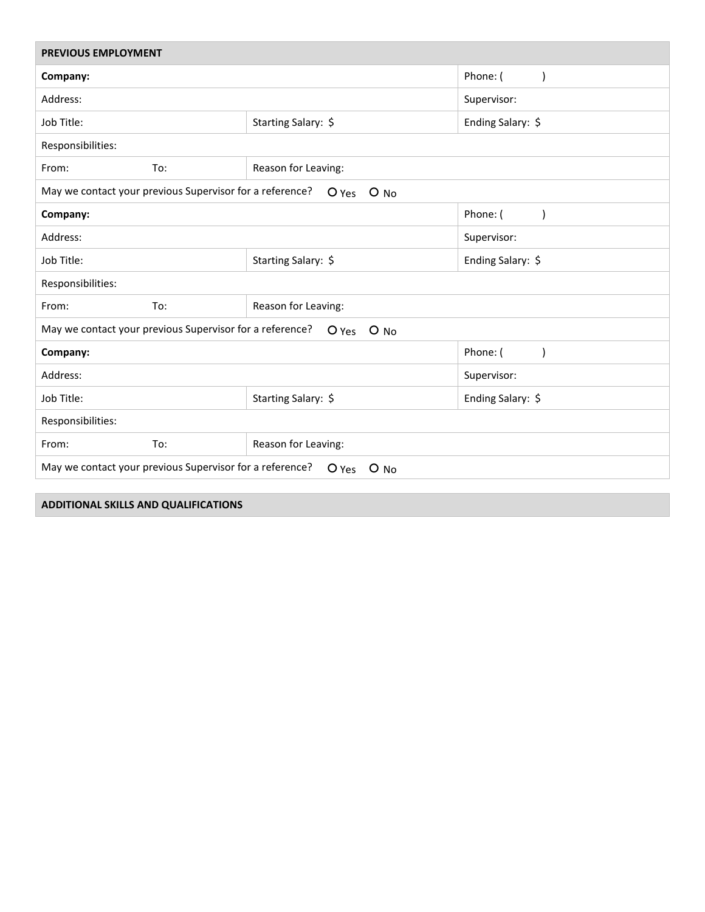| <b>PREVIOUS EMPLOYMENT</b>                                                    |                       |                       |  |  |  |
|-------------------------------------------------------------------------------|-----------------------|-----------------------|--|--|--|
| Company:                                                                      | Phone: (<br>$\lambda$ |                       |  |  |  |
| Address:                                                                      | Supervisor:           |                       |  |  |  |
| Job Title:                                                                    | Starting Salary: \$   | Ending Salary: \$     |  |  |  |
| Responsibilities:                                                             |                       |                       |  |  |  |
| From:<br>To:                                                                  | Reason for Leaving:   |                       |  |  |  |
| May we contact your previous Supervisor for a reference?<br>O Yes O No        |                       |                       |  |  |  |
| Company:                                                                      | Phone: (<br>$\lambda$ |                       |  |  |  |
| Address:                                                                      |                       | Supervisor:           |  |  |  |
| Job Title:                                                                    | Starting Salary: \$   | Ending Salary: \$     |  |  |  |
| Responsibilities:                                                             |                       |                       |  |  |  |
| From:<br>To:                                                                  | Reason for Leaving:   |                       |  |  |  |
| May we contact your previous Supervisor for a reference?<br>O Yes O No        |                       |                       |  |  |  |
| Company:                                                                      |                       | Phone: (<br>$\lambda$ |  |  |  |
| Address:                                                                      |                       | Supervisor:           |  |  |  |
| Job Title:                                                                    | Starting Salary: \$   | Ending Salary: \$     |  |  |  |
| Responsibilities:                                                             |                       |                       |  |  |  |
| From:<br>To:                                                                  | Reason for Leaving:   |                       |  |  |  |
| May we contact your previous Supervisor for a reference?<br>$O$ Yes<br>$O$ No |                       |                       |  |  |  |

**ADDITIONAL SKILLS AND QUALIFICATIONS**